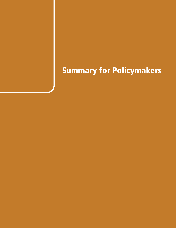# Summary for Policymakers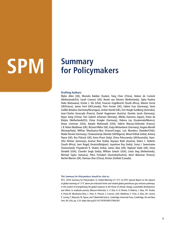# **Summary SPM for Policymakers**

#### **Drafting Authors:**

Myles Allen (UK), Mustafa Babiker (Sudan), Yang Chen (China), Heleen de Coninck (Netherlands/EU), Sarah Connors (UK), Renée van Diemen (Netherlands), Opha Pauline Dube (Botswana), Kristie L. Ebi (USA), Francois Engelbrecht (South Africa), Marion Ferrat (UK/France), James Ford (UK/Canada), Piers Forster (UK), Sabine Fuss (Germany), Tania Guillén Bolaños (Germany/Nicaragua), Jordan Harold (UK), Ove Hoegh-Guldberg (Australia), Jean-Charles Hourcade (France), Daniel Huppmann (Austria), Daniela Jacob (Germany), Kejun Jiang (China), Tom Gabriel Johansen (Norway), Mikiko Kainuma (Japan), Kiane de Kleijne (Netherlands/EU), Elmar Kriegler (Germany), Debora Ley (Guatemala/Mexico), Diana Liverman (USA), Natalie Mahowald (USA), Valérie Masson-Delmotte (France), J. B. Robin Matthews (UK), Richard Millar (UK), Katja Mintenbeck (Germany), Angela Morelli (Norway/Italy), Wilfran Moufouma-Okia (France/Congo), Luis Mundaca (Sweden/Chile), Maike Nicolai (Germany), Chukwumerije Okereke (UK/Nigeria), Minal Pathak (India), Antony Payne (UK), Roz Pidcock (UK), Anna Pirani (Italy), Elvira Poloczanska (UK/Australia), Hans-Otto Pörtner (Germany), Aromar Revi (India), Keywan Riahi (Austria), Debra C. Roberts (South Africa), Joeri Rogelj (Austria/Belgium), Joyashree Roy (India), Sonia I. Seneviratne (Switzerland), Priyadarshi R. Shukla (India), James Skea (UK), Raphael Slade (UK), Drew Shindell (USA), Chandni Singh (India), William Solecki (USA), Linda Steg (Netherlands), Michael Taylor (Jamaica), Petra Tschakert (Australia/Austria), Henri Waisman (France), Rachel Warren (UK), Panmao Zhai (China), Kirsten Zickfeld (Canada).

#### **This Summary for Policymakers should be cited as:**

IPCC, 2018: Summary for Policymakers. In: Global Warming of 1.5°C. An IPCC Special Report on the impacts of global warming of 1.5°C above pre-industrial levels and related global greenhouse gas emission pathways, in the context of strengthening the global response to the threat of climate change, sustainable development, and efforts to eradicate poverty [Masson-Delmotte, V., P. Zhai, H.-O. Pörtner, D. Roberts, J. Skea, P.R. Shukla, A. Pirani, W. Moufouma-Okia, C. Péan, R. Pidcock, S. Connors, J.B.R. Matthews, Y. Chen, X. Zhou, M.I. Gomis, E. Lonnoy, T. Maycock, M. Tignor, and T. Waterfield (eds.)]. Cambridge University Press, Cambridge, UK and New York, NY, USA, pp. 3-24. https://doi.org/10.1017/9781009157940.001.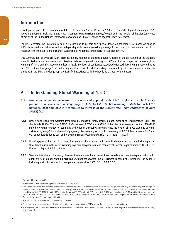#### **Introduction**

This Report responds to the invitation for IPCC '... to provide a Special Report in 2018 on the impacts of global warming of 1.5°C above pre-industrial levels and related global greenhouse gas emission pathways' contained in the Decision of the 21st Conference of Parties of the United Nations Framework Convention on Climate Change to adopt the Paris Agreement.<sup>1</sup>

The IPCC accepted the invitation in April 2016, deciding to prepare this Special Report on the impacts of global warming of 1.5°C above pre-industrial levels and related global greenhouse gas emission pathways, in the context of strengthening the global response to the threat of climate change, sustainable development, and efforts to eradicate poverty.

This Summary for Policymakers (SPM) presents the key findings of the Special Report, based on the assessment of the available scientific, technical and socio-economic literature<sup>2</sup> relevant to global warming of 1.5°C and for the comparison between global warming of 1.5°C and 2°C above pre-industrial levels. The level of confidence associated with each key finding is reported using the IPCC calibrated language.<sup>3</sup> The underlying scientific basis of each key finding is indicated by references provided to chapter elements. In the SPM, knowledge gaps are identified associated with the underlying chapters of the Report.

#### **A. Understanding Global Warming of 1.5°C**<sup>4</sup>

- **A.1 Human activities are estimated to have caused approximately 1.0°C of global warming**<sup>5</sup>  **above pre-industrial levels, with a** *likely* **range of 0.8°C to 1.2°C. Global warming is** *likely* **to reach 1.5°C between 2030 and 2052 if it continues to increase at the current rate. (***high confidence***) (Figure SPM.1) {1.2}**
- A.1.1 Reflecting the long-term warming trend since pre-industrial times, observed global mean surface temperature (GMST) for the decade 2006–2015 was 0.87°C (likely between 0.75°C and 0.99°C)<sup>6</sup> higher than the average over the 1850–1900 period (very high confidence). Estimated anthropogenic global warming matches the level of observed warming to within ±20% (likely range). Estimated anthropogenic global warming is currently increasing at 0.2°C (likely between 0.1°C and 0.3°C) per decade due to past and ongoing emissions (high confidence). {1.2.1, Table 1.1, 1.2.4}
- A.1.2 Warming greater than the global annual average is being experienced in many land regions and seasons, including two to three times higher in the Arctic. Warming is generally higher over land than over the ocean. (high confidence) {1.2.1, 1.2.2, Figure 1.1, Figure 1.3, 3.3.1, 3.3.2}
- A.1.3 Trends in intensity and frequency of some climate and weather extremes have been detected over time spans during which about 0.5°C of global warming occurred (*medium confidence*). This assessment is based on several lines of evidence, including attribution studies for changes in extremes since 1950. {3.3.1, 3.3.2, 3.3.3}

<sup>1</sup> Decision 1/CP.21, paragraph 21.

<sup>2</sup> The assessment covers literature accepted for publication by 15 May 2018.

<sup>3</sup> Each finding is grounded in an evaluation of underlying evidence and agreement. A level of confidence is expressed using five qualifiers: very low, low, medium, high and very high, and typeset in italics, for example, medium confidence. The following terms have been used to indicate the assessed likelihood of an outcome or a result: virtually certain 99-100% probability, very likely 90-100%, likely 66-100%, about as likely as not 33-66%, unlikely 0-33%, very unlikely 0-10%, exceptionally unlikely 0-1%. Additional terms (extremely likely 95–100%, more likely than not >50–100%, more unlikely than likely 0–<50%, extremely unlikely 0–5%) may also be used when appropriate. Assessed likelihood is typeset in italics, for example, very likely. This is consistent with AR5.

<sup>4</sup> See also Box SPM.1: Core Concepts Central to this Special Report.

<sup>5</sup> Present level of global warming is defined as the average of a 30-year period centred on 2017 assuming the recent rate of warming continues.

<sup>6</sup> This range spans the four available peer-reviewed estimates of the observed GMST change and also accounts for additional uncertainty due to possible short-term natural variability. {1.2.1, Table 1.1}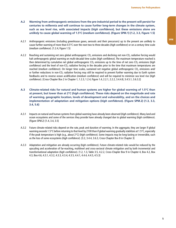- **A.2 Warming from anthropogenic emissions from the pre-industrial period to the present will persist for centuries to millennia and will continue to cause further long-term changes in the climate system, such as sea level rise, with associated impacts (***high confidence***), but these emissions alone are**  *unlikely* **to cause global warming of 1.5°C (***medium confidence***). (Figure SPM.1) {1.2, 3.3, Figure 1.5}**
- A.2.1 Anthropogenic emissions (including greenhouse gases, aerosols and their precursors) up to the present are *unlikely* to cause further warming of more than 0.5°C over the next two to three decades (high confidence) or on a century time scale (medium confidence). {1.2.4, Figure 1.5}
- A.2.2 Reaching and sustaining net zero global anthropogenic CO<sub>2</sub> emissions and declining net non-CO<sub>2</sub> radiative forcing would halt anthropogenic global warming on multi-decadal time scales (high confidence). The maximum temperature reached is then determined by cumulative net global anthropogenic CO<sub>2</sub> emissions up to the time of net zero CO<sub>2</sub> emissions (high confidence) and the level of non-CO<sub>2</sub> radiative forcing in the decades prior to the time that maximum temperatures are reached (medium confidence). On longer time scales, sustained net negative global anthropogenic CO<sub>2</sub> emissions and/ or further reductions in non-CO<sub>2</sub> radiative forcing may still be required to prevent further warming due to Earth system feedbacks and to reverse ocean acidification (medium confidence) and will be required to minimize sea level rise (high confidence). {Cross-Chapter Box 2 in Chapter 1, 1.2.3, 1.2.4, Figure 1.4, 2.2.1, 2.2.2, 3.4.4.8, 3.4.5.1, 3.6.3.2}
- **A.3 Climate-related risks for natural and human systems are higher for global warming of 1.5°C than at present, but lower than at 2°C (***high confidence***). These risks depend on the magnitude and rate of warming, geographic location, levels of development and vulnerability, and on the choices and implementation of adaptation and mitigation options (***high confidence***). (Figure SPM.2) {1.3, 3.3, 3.4, 5.6}**
- A.3.1 Impacts on natural and human systems from global warming have already been observed (high confidence). Many land and ocean ecosystems and some of the services they provide have already changed due to global warming (high confidence). (Figure SPM.2) {1.4, 3.4, 3.5}
- A.3.2 Future climate-related risks depend on the rate, peak and duration of warming. In the aggregate, they are larger if global warming exceeds 1.5°C before returning to that level by 2100 than if global warming gradually stabilizes at 1.5°C, especially if the peak temperature is high (e.g., about  $2^{\circ}$ C) (*high confidence*). Some impacts may be long-lasting or irreversible, such as the loss of some ecosystems (high confidence). {3.2, 3.4.4, 3.6.3, Cross-Chapter Box 8 in Chapter 3}
- A.3.3 Adaptation and mitigation are already occurring (high confidence). Future climate-related risks would be reduced by the upscaling and acceleration of far-reaching, multilevel and cross-sectoral climate mitigation and by both incremental and transformational adaptation (high confidence). {1.2, 1.3, Table 3.5, 4.2.2, Cross-Chapter Box 9 in Chapter 4, Box 4.2, Box 4.3, Box 4.6, 4.3.1, 4.3.2, 4.3.3, 4.3.4, 4.3.5, 4.4.1, 4.4.4, 4.4.5, 4.5.3}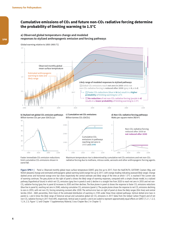#### **Cumulative emissions of CO2 and future non-CO2 radiative forcing determine the probability of limiting warming to 1.5°C**

#### **a) Observed global temperature change and modeled responses to stylized anthropogenic emission and forcing pathways**





60  $50 - 3000$ 





Cumulative CO2

reaching net zero in **2055** and **2040**



Faster immediate CO<sub>2</sub> emission reductions limit cumulative CO2 emissions shown in panel **(c)**.

Maximum temperature rise is determined by cumulative net  $CO<sub>2</sub>$  emissions and net non- $CO<sub>2</sub>$ radiative forcing due to methane, nitrous oxide, aerosols and other anthropogenic forcing agents.

**Figure SPM.1 |** Panel a: Observed monthly global mean surface temperature (GMST, grey line up to 2017, from the HadCRUT4, GISTEMP, Cowtan–Way, and NOAA datasets) change and estimated anthropogenic global warming (solid orange line up to 2017, with orange shading indicating assessed likely range). Orange dashed arrow and horizontal orange error bar show respectively the central estimate and likely range of the time at which 1.5°C is reached if the current rate of warming continues. The grey plume on the right of panel a shows the likely range of warming responses, computed with a simple climate model, to a stylized pathway (hypothetical future) in which net CO<sub>2</sub> emissions (grey line in panels b and c) decline in a straight line from 2020 to reach net zero in 2055 and net non-CO<sub>2</sub> radiative forcing (grey line in panel d) increases to 2030 and then declines. The blue plume in panel a) shows the response to faster CO<sub>2</sub> emissions reductions (blue line in panel b), reaching net zero in 2040, reducing cumulative CO<sub>2</sub> emissions (panel c). The purple plume shows the response to net CO<sub>2</sub> emissions declining to zero in 2055, with net non-CO<sub>2</sub> forcing remaining constant after 2030. The vertical error bars on right of panel a) show the likely ranges (thin lines) and central terciles (33rd – 66th percentiles, thick lines) of the estimated distribution of warming in 2100 under these three stylized pathways. Vertical dotted error bars in panels b, c and d show the likely range of historical annual and cumulative global net CO<sub>2</sub> emissions in 2017 (data from the Global Carbon Project) and of net non-CO<sub>2</sub> radiative forcing in 2011 from AR5, respectively. Vertical axes in panels c and d are scaled to represent approximately equal effects on GMST. {1.2.1, 1.2.3, 1.2.4, 2.3, Figure 1.2 and Chapter 1 Supplementary Material, Cross-Chapter Box 2 in Chapter 1}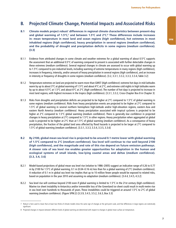#### **B. Projected Climate Change, Potential Impacts and Associated Risks**

- **B.1** Climate models project robust<sup>7</sup> differences in regional climate characteristics between present-day and global warming of 1.5°C,<sup>8</sup> and between 1.5°C and 2°C.<sup>8</sup> These differences include increases **in: mean temperature in most land and ocean regions (***high confidence***), hot extremes in most inhabited regions (***high confidenc***e), heavy precipitation in several regions** *(medium confidence***), and the probability of drought and precipitation deficits in some regions (***medium confidenc***e). {3.3}**
- B.1.1 Evidence from attributed changes in some climate and weather extremes for a global warming of about 0.5°C supports the assessment that an additional 0.5°C of warming compared to present is associated with further detectable changes in these extremes (medium confidence). Several regional changes in climate are assessed to occur with global warming up to 1.5°C compared to pre-industrial levels, including warming of extreme temperatures in many regions (high confidence), increases in frequency, intensity, and/or amount of heavy precipitation in several regions (high confidence), and an increase in intensity or frequency of droughts in some regions (medium confidence). {3.2, 3.3.1, 3.3.2, 3.3.3, 3.3.4, Table 3.2}
- B.1.2 Temperature extremes on land are projected to warm more than GMST (high confidence): extreme hot days in mid-latitudes warm by up to about 3°C at global warming of 1.5°C and about 4°C at 2°C, and extreme cold nights in high latitudes warm by up to about 4.5°C at 1.5°C and about 6°C at 2°C (high confidence). The number of hot days is projected to increase in most land regions, with highest increases in the tropics (high confidence). {3.3.1, 3.3.2, Cross-Chapter Box 8 in Chapter 3}
- B.1.3 Risks from droughts and precipitation deficits are projected to be higher at 2°C compared to 1.5°C of global warming in some regions (medium confidence). Risks from heavy precipitation events are projected to be higher at 2°C compared to 1.5°C of global warming in several northern hemisphere high-latitude and/or high-elevation regions, eastern Asia and eastern North America (medium confidence). Heavy precipitation associated with tropical cyclones is projected to be higher at 2°C compared to 1.5°C global warming (medium confidence). There is generally low confidence in projected changes in heavy precipitation at 2°C compared to 1.5°C in other regions. Heavy precipitation when aggregated at global scale is projected to be higher at 2°C than at 1.5°C of global warming (medium confidence). As a consequence of heavy precipitation, the fraction of the global land area affected by flood hazards is projected to be larger at 2°C compared to 1.5°C of global warming (medium confidence). {3.3.1, 3.3.3, 3.3.4, 3.3.5, 3.3.6}
- **B.2 By 2100, global mean sea level rise is projected to be around 0.1 metre lower with global warming of 1.5°C compared to 2°C (***medium confidence***). Sea level will continue to rise well beyond 2100 (***high confidenc***e), and the magnitude and rate of this rise depend on future emission pathways. A slower rate of sea level rise enables greater opportunities for adaptation in the human and ecological systems of small islands, low-lying coastal areas and deltas (***medium confidence***). {3.3, 3.4, 3.6}**
- B.2.1 Model-based projections of global mean sea level rise (relative to 1986–2005) suggest an indicative range of 0.26 to 0.77 m by 2100 for 1.5°C of global warming, 0.1 m (0.04–0.16 m) less than for a global warming of 2°C (medium confidence). A reduction of 0.1 m in global sea level rise implies that up to 10 million fewer people would be exposed to related risks, based on population in the year 2010 and assuming no adaptation (medium confidence). {3.4.4, 3.4.5, 4.3.2}
- B.2.2 Sea level rise will continue beyond 2100 even if global warming is limited to 1.5°C in the 21st century (high confidence). Marine ice sheet instability in Antarctica and/or irreversible loss of the Greenland ice sheet could result in multi-metre rise in sea level over hundreds to thousands of years. These instabilities could be triggered at around 1.5°C to 2°C of global warming (medium confidence). (Figure SPM.2) {3.3.9, 3.4.5, 3.5.2, 3.6.3, Box 3.3}

<sup>7</sup> Robust is here used to mean that at least two thirds of climate models show the same sign of changes at the grid point scale, and that differences in large regions are statistically significant.

<sup>8</sup> Projected changes in impacts between different levels of global warming are determined with respect to changes in global mean surface air temperature.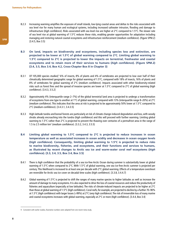- B.2.3 Increasing warming amplifies the exposure of small islands, low-lying coastal areas and deltas to the risks associated with sea level rise for many human and ecological systems, including increased saltwater intrusion, flooding and damage to infrastructure (high confidence). Risks associated with sea level rise are higher at  $2^{\circ}$ C compared to 1.5°C. The slower rate of sea level rise at global warming of 1.5°C reduces these risks, enabling greater opportunities for adaptation including managing and restoring natural coastal ecosystems and infrastructure reinforcement (medium confidence). (Figure SPM.2)  ${3.4.5, Box 3.5}$
- **B.3 On land, impacts on biodiversity and ecosystems, including species loss and extinction, are projected to be lower at 1.5°C of global warming compared to 2°C. Limiting global warming to 1.5°C compared to 2°C is projected to lower the impacts on terrestrial, freshwater and coastal ecosystems and to retain more of their services to humans (***high confidence***). (Figure SPM.2) {3.4, 3.5, Box 3.4, Box 4.2, Cross-Chapter Box 8 in Chapter 3}**
- B.3.1 Of 105,000 species studied,<sup>9</sup> 6% of insects, 8% of plants and 4% of vertebrates are projected to lose over half of their climatically determined geographic range for global warming of 1.5°C, compared with 18% of insects, 16% of plants and 8% of vertebrates for global warming of 2°C (medium confidence). Impacts associated with other biodiversity-related risks such as forest fires and the spread of invasive species are lower at 1.5°C compared to 2°C of global warming (high confidence). {3.4.3, 3.5.2}
- B.3.2 Approximately 4% (interquartile range 2–7%) of the global terrestrial land area is projected to undergo a transformation of ecosystems from one type to another at 1°C of global warming, compared with 13% (interquartile range 8–20%) at 2°C (medium confidence). This indicates that the area at risk is projected to be approximately 50% lower at 1.5°C compared to 2°C (medium confidence). {3.4.3.1, 3.4.3.5}
- B.3.3 High-latitude tundra and boreal forests are particularly at risk of climate change-induced degradation and loss, with woody shrubs already encroaching into the tundra (high confidence) and this will proceed with further warming. Limiting global warming to 1.5°C rather than 2°C is projected to prevent the thawing over centuries of a permafrost area in the range of 1.5 to 2.5 million km<sup>2</sup> (medium confidence). {3.3.2, 3.4.3, 3.5.5}
- **B.4 Limiting global warming to 1.5°C compared to 2°C is projected to reduce increases in ocean temperature as well as associated increases in ocean acidity and decreases in ocean oxygen levels (***high confidence***). Consequently, limiting global warming to 1.5°C is projected to reduce risks to marine biodiversity, fisheries, and ecosystems, and their functions and services to humans, as illustrated by recent changes to Arctic sea ice and warm-water coral reef ecosystems (***high confidence***). {3.3, 3.4, 3.5, Box 3.4, Box 3.5}**
- B.4.1 There is high confidence that the probability of a sea ice-free Arctic Ocean during summer is substantially lower at global warming of 1.5°C when compared to 2°C. With 1.5°C of global warming, one sea ice-free Arctic summer is projected per century. This likelihood is increased to at least one per decade with 2°C global warming. Effects of a temperature overshoot are reversible for Arctic sea ice cover on decadal time scales (high confidence). {3.3.8, 3.4.4.7}
- B.4.2 Global warming of 1.5°C is projected to shift the ranges of many marine species to higher latitudes as well as increase the amount of damage to many ecosystems. It is also expected to drive the loss of coastal resources and reduce the productivity of fisheries and aquaculture (especially at low latitudes). The risks of climate-induced impacts are projected to be higher at 2°C than those at global warming of 1.5°C (high confidence). Coral reefs, for example, are projected to decline by a further 70–90% at 1.5°C (high confidence) with larger losses (>99%) at 2°C (very high confidence). The risk of irreversible loss of many marine and coastal ecosystems increases with global warming, especially at 2°C or more (high confidence). {3.4.4, Box 3.4}

<sup>9</sup> Consistent with earlier studies, illustrative numbers were adopted from one recent meta-study.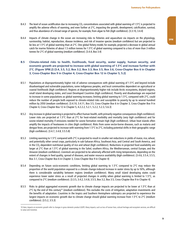- B.4.3 The level of ocean acidification due to increasing CO<sub>2</sub> concentrations associated with global warming of 1.5 $\degree$ C is projected to amplify the adverse effects of warming, and even further at 2°C, impacting the growth, development, calcification, survival, and thus abundance of a broad range of species, for example, from algae to fish (high confidence). {3.3.10, 3.4.4}
- B.4.4 Impacts of climate change in the ocean are increasing risks to fisheries and aquaculture via impacts on the physiology, survivorship, habitat, reproduction, disease incidence, and risk of invasive species (medium confidence) but are projected to be less at 1.5°C of global warming than at 2°C. One global fishery model, for example, projected a decrease in global annual catch for marine fisheries of about 1.5 million tonnes for 1.5°C of global warming compared to a loss of more than 3 million tonnes for  $2^{\circ}$ C of global warming (*medium confidence*). {3.4.4, Box 3.4}
- **B.5 Climate-related risks to health, livelihoods, food security, water supply, human security, and economic growth are projected to increase with global warming of 1.5°C and increase further with 2°C. (Figure SPM.2) {3.4, 3.5, 5.2, Box 3.2, Box 3.3, Box 3.5, Box 3.6, Cross-Chapter Box 6 in Chapter 3, Cross-Chapter Box 9 in Chapter 4, Cross-Chapter Box 12 in Chapter 5, 5.2}**
- B.5.1 Populations at disproportionately higher risk of adverse consequences with global warming of 1.5°C and beyond include disadvantaged and vulnerable populations, some indigenous peoples, and local communities dependent on agricultural or coastal livelihoods (high confidence). Regions at disproportionately higher risk include Arctic ecosystems, dryland regions, small island developing states, and Least Developed Countries (high confidence). Poverty and disadvantage are expected to increase in some populations as global warming increases; limiting global warming to 1.5°C, compared with 2°C, could reduce the number of people both exposed to climate-related risks and susceptible to poverty by up to several hundred million by 2050 (medium confidence). {3.4.10, 3.4.11, Box 3.5, Cross-Chapter Box 6 in Chapter 3, Cross-Chapter Box 9 in Chapter 4, Cross-Chapter Box 12 in Chapter 5, 4.2.2.2, 5.2.1, 5.2.2, 5.2.3, 5.6.3}
- B.5.2 Any increase in global warming is projected to affect human health, with primarily negative consequences (high confidence). Lower risks are projected at 1.5°C than at 2°C for heat-related morbidity and mortality (very high confidence) and for ozone-related mortality if emissions needed for ozone formation remain high (high confidence). Urban heat islands often amplify the impacts of heatwaves in cities (high confidence). Risks from some vector-borne diseases, such as malaria and dengue fever, are projected to increase with warming from 1.5°C to 2°C, including potential shifts in their geographic range (high confidence). {3.4.7, 3.4.8, 3.5.5.8}
- B.5.3 Limiting warming to 1.5°C compared with 2°C is projected to result in smaller net reductions in yields of maize, rice, wheat, and potentially other cereal crops, particularly in sub-Saharan Africa, Southeast Asia, and Central and South America, and in the CO<sub>2</sub>-dependent nutritional quality of rice and wheat (high confidence). Reductions in projected food availability are larger at 2°C than at 1.5°C of global warming in the Sahel, southern Africa, the Mediterranean, central Europe, and the Amazon (*medium confidence*). Livestock are projected to be adversely affected with rising temperatures, depending on the extent of changes in feed quality, spread of diseases, and water resource availability (high confidence). {3.4.6, 3.5.4, 3.5.5, Box 3.1, Cross-Chapter Box 6 in Chapter 3, Cross-Chapter Box 9 in Chapter 4}
- B.5.4 Depending on future socio-economic conditions, limiting global warming to 1.5°C compared to 2°C may reduce the proportion of the world population exposed to a climate change-induced increase in water stress by up to 50%, although there is considerable variability between regions (medium confidence). Many small island developing states could experience lower water stress as a result of projected changes in aridity when global warming is limited to 1.5°C, as compared to 2°C (medium confidence). {3.3.5, 3.4.2, 3.4.8, 3.5.5, Box 3.2, Box 3.5, Cross-Chapter Box 9 in Chapter 4}
- B.5.5 Risks to global aggregated economic growth due to climate change impacts are projected to be lower at 1.5°C than at 2°C by the end of this century<sup>10</sup> (medium confidence). This excludes the costs of mitigation, adaptation investments and the benefits of adaptation. Countries in the tropics and Southern Hemisphere subtropics are projected to experience the largest impacts on economic growth due to climate change should global warming increase from 1.5°C to 2°C (medium confidence). {3.5.2, 3.5.3}

<sup>10</sup> Here, impacts on economic growth refer to changes in gross domestic product (GDP). Many impacts, such as loss of human lives, cultural heritage and ecosystem services, are difficult to value and monetize.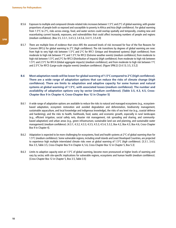- B.5.6 Exposure to multiple and compound climate-related risks increases between 1.5°C and 2°C of global warming, with greater proportions of people both so exposed and susceptible to poverty in Africa and Asia (high confidence). For global warming from 1.5°C to 2°C, risks across energy, food, and water sectors could overlap spatially and temporally, creating new and exacerbating current hazards, exposures, and vulnerabilities that could affect increasing numbers of people and regions (medium confidence). {Box 3.5, 3.3.1, 3.4.5.3, 3.4.5.6, 3.4.11, 3.5.4.9}
- B.5.7 There are multiple lines of evidence that since AR5 the assessed levels of risk increased for four of the five Reasons for Concern (RFCs) for global warming to  $2^{\circ}C$  (*high confidence*). The risk transitions by degrees of global warming are now: from high to very high risk between 1.5°C and 2°C for RFC1 (Unique and threatened systems) (high confidence); from moderate to high risk between 1°C and 1.5°C for RFC2 (Extreme weather events) (medium confidence); from moderate to high risk between 1.5°C and 2°C for RFC3 (Distribution of impacts) (high confidence); from moderate to high risk between 1.5°C and 2.5°C for RFC4 (Global aggregate impacts) (medium confidence); and from moderate to high risk between 1°C and 2.5°C for RFC5 (Large-scale singular events) (medium confidence). (Figure SPM.2) {3.4.13; 3.5, 3.5.2}
- **B.6 Most adaptation needs will be lower for global warming of 1.5°C compared to 2°C (***high confidence***). There are a wide range of adaptation options that can reduce the risks of climate change (***high confidence***). There are limits to adaptation and adaptive capacity for some human and natural systems at global warming of 1.5°C, with associated losses (***medium confidence***). The number and availability of adaptation options vary by sector (***medium confidence***). {Table 3.5, 4.3, 4.5, Cross-Chapter Box 9 in Chapter 4, Cross-Chapter Box 12 in Chapter 5}**
- B.6.1 A wide range of adaptation options are available to reduce the risks to natural and managed ecosystems (e.g., ecosystembased adaptation, ecosystem restoration and avoided degradation and deforestation, biodiversity management, sustainable aquaculture, and local knowledge and indigenous knowledge), the risks of sea level rise (e.g., coastal defence and hardening), and the risks to health, livelihoods, food, water, and economic growth, especially in rural landscapes (e.g., efficient irrigation, social safety nets, disaster risk management, risk spreading and sharing, and communitybased adaptation) and urban areas (e.g., green infrastructure, sustainable land use and planning, and sustainable water management) (medium confidence). {4.3.1, 4.3.2, 4.3.3, 4.3.5, 4.5.3, 4.5.4, 5.3.2, Box 4.2, Box 4.3, Box 4.6, Cross-Chapter Box 9 in Chapter 4}.
- B.6.2 Adaptation is expected to be more challenging for ecosystems, food and health systems at 2°C of global warming than for 1.5°C (medium confidence). Some vulnerable regions, including small islands and Least Developed Countries, are projected to experience high multiple interrelated climate risks even at global warming of 1.5°C (high confidence). {3.3.1, 3.4.5, Box 3.5, Table 3.5, Cross-Chapter Box 9 in Chapter 4, 5.6, Cross-Chapter Box 12 in Chapter 5, Box 5.3}
- B.6.3 Limits to adaptive capacity exist at 1.5°C of global warming, become more pronounced at higher levels of warming and vary by sector, with site-specific implications for vulnerable regions, ecosystems and human health (medium confidence). {Cross-Chapter Box 12 in Chapter 5, Box 3.5, Table 3.5}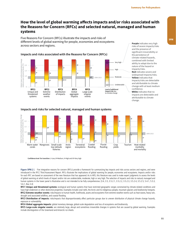#### How the level of global warming affects impacts and/or risks associated with **the Reasons for Concern (RFCs) and selected natural, managed and human systems**

Five Reasons For Concern (RFCs) illustrate the impacts and risks of different levels of global warming for people, economies and ecosystems across sectors and regions.



**Purple** indicates very high risks of severe impacts/risks and the presence of significant irreversibility or the persistence of climate-related hazards, combined with limited ability to adapt due to the nature of the hazard or impacts/risks. Red indicates severe and widespread impacts/risks. Yellow indicates that impacts/risks are detectable and attributable to climate change with at least medium confidence. White indicates that no impacts are detectable and attributable to climate

**Impacts and risks for selected natural, managed and human systems**



**Confidence level for transition:** L=Low, M=Medium, H=High and VH=Very high

Figure SPM.2 | Five integrative reasons for concern (RFCs) provide a framework for summarizing key impacts and risks across sectors and regions, and were introduced in the IPCC Third Assessment Report. RFCs illustrate the implications of global warming for people, economies and ecosystems. Impacts and/or risks for each RFC are based on assessment of the new literature that has appeared. As in AR5, this literature was used to make expert judgments to assess the levels of global warming at which levels of impact and/or risk are undetectable, moderate, high or very high. The selection of impacts and risks to natural, managed and human systems in the lower panel is illustrative and is not intended to be fully comprehensive. {3.4, 3.5, 3.5.2.1, 3.5.2.2, 3.5.2.3, 3.5.2.4, 3.5.2.5, 5.4.1, 5.5.3, 5.6.1, Box 3.4}

**RFC1 Unique and threatened systems:** ecological and human systems that have restricted geographic ranges constrained by climate-related conditions and have high endemism or other distinctive properties. Examples include coral reefs, the Arctic and its indigenous people, mountain glaciers and biodiversity hotspots. **RFC2 Extreme weather events:** risks/impacts to human health, livelihoods, assets and ecosystems from extreme weather events such as heat waves, heavy rain, drought and associated wildfires, and coastal flooding.

**RFC3 Distribution of impacts:** risks/impacts that disproportionately affect particular groups due to uneven distribution of physical climate change hazards, exposure or vulnerability.

**RFC4 Global aggregate impacts:** global monetary damage, global-scale degradation and loss of ecosystems and biodiversity.

RFC5 Large-scale singular events: are relatively large, abrupt and sometimes irreversible changes in systems that are caused by global warming. Examples include disintegration of the Greenland and Antarctic ice sheets.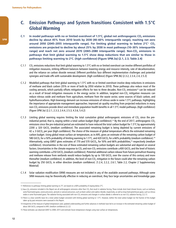### **C. Emission Pathways and System Transitions Consistent with 1.5°C Global Warming**

- C.1 In model pathways with no or limited overshoot of 1.5°C, global net anthropogenic CO<sub>2</sub> emissions **decline by about 45% from 2010 levels by 2030 (40–60% interquartile range), reaching net zero**  around 2050 (2045–2055 interquartile range). For limiting global warming to below 2°C<sup>11</sup> CO<sub>2</sub> **emissions are projected to decline by about 25% by 2030 in most pathways (10–30% interquartile**  range) and reach net zero around 2070 (2065-2080 interquartile range). Non-CO<sub>2</sub> emissions in **pathways that limit global warming to 1.5°C show deep reductions that are similar to those in pathways limiting warming to 2°C. (***high confidence***) (Figure SPM.3a) {2.1, 2.3, Table 2.4}**
- C.1.1 CO2 emissions reductions that limit global warming to 1.5°C with no or limited overshoot can involve different portfolios of mitigation measures, striking different balances between lowering energy and resource intensity, rate of decarbonization, and the reliance on carbon dioxide removal. Different portfolios face different implementation challenges and potential synergies and trade-offs with sustainable development. (high confidence) (Figure SPM.3b) {2.3.2, 2.3.4, 2.4, 2.5.3}
- C.1.2 Modelled pathways that limit global warming to  $1.5^{\circ}$ C with no or limited overshoot involve deep reductions in emissions of methane and black carbon (35% or more of both by 2050 relative to 2010). These pathways also reduce most of the cooling aerosols, which partially offsets mitigation effects for two to three decades. Non-CO<sub>2</sub> emissions<sup>12</sup> can be reduced as a result of broad mitigation measures in the energy sector. In addition, targeted non-CO<sub>2</sub> mitigation measures can reduce nitrous oxide and methane from agriculture, methane from the waste sector, some sources of black carbon, and hydrofluorocarbons. High bioenergy demand can increase emissions of nitrous oxide in some 1.5°C pathways, highlighting the importance of appropriate management approaches. Improved air quality resulting from projected reductions in many non-CO<sub>2</sub> emissions provide direct and immediate population health benefits in all 1.5°C model pathways. (high confidence) (Figure SPM.3a) {2.2.1, 2.3.3, 2.4.4, 2.5.3, 4.3.6, 5.4.2}
- $C.1.3$  Limiting global warming requires limiting the total cumulative global anthropogenic emissions of  $CO<sub>2</sub>$  since the preindustrial period, that is, staying within a total carbon budget (high confidence).<sup>13</sup> By the end of 2017, anthropogenic CO<sub>2</sub> emissions since the pre-industrial period are estimated to have reduced the total carbon budget for 1.5°C by approximately 2200  $\pm$  320 GtCO<sub>2</sub> (medium confidence). The associated remaining budget is being depleted by current emissions of  $42 \pm 3$  GtCO<sub>2</sub> per year (*high confidence*). The choice of the measure of global temperature affects the estimated remaining carbon budget. Using global mean surface air temperature, as in AR5, gives an estimate of the remaining carbon budget of 580 GtCO<sub>2</sub> for a 50% probability of limiting warming to 1.5 $\degree$ C, and 420 GtCO<sub>2</sub> for a 66% probability (*medium confidence*).<sup>14</sup> Alternatively, using GMST gives estimates of 770 and 570 GtCO<sub>2</sub>, for 50% and 66% probabilities,<sup>15</sup> respectively (*medium* confidence). Uncertainties in the size of these estimated remaining carbon budgets are substantial and depend on several factors. Uncertainties in the climate response to CO<sub>2</sub> and non-CO<sub>2</sub> emissions contribute  $\pm$ 400 GtCO<sub>2</sub> and the level of historic warming contributes  $\pm 250$  GtCO<sub>2</sub> (medium confidence). Potential additional carbon release from future permafrost thawing and methane release from wetlands would reduce budgets by up to 100 GtCO<sub>2</sub> over the course of this century and more thereafter (medium confidence). In addition, the level of non-CO<sub>2</sub> mitigation in the future could alter the remaining carbon budget by 250 GtCO<sub>2</sub> in either direction (medium confidence). {1.2.4, 2.2.2, 2.6.1, Table 2.2, Chapter 2 Supplementary Material}
- C.1.4 Solar radiation modification (SRM) measures are not included in any of the available assessed pathways. Although some SRM measures may be theoretically effective in reducing an overshoot, they face large uncertainties and knowledge gaps

<sup>11</sup> References to pathways limiting global warming to 2°C are based on a 66% probability of staying below 2°C.

<sup>12</sup> Non-CO<sub>2</sub> emissions included in this Report are all anthropogenic emissions other than CO<sub>2</sub> that result in radiative forcing. These include short-lived climate forcers, such as methane, some fluorinated gases, ozone precursors, aerosols or aerosol precursors, such as black carbon and sulphur dioxide, respectively, as well as long-lived greenhouse gases, such as nitrous oxide or some fluorinated gases. The radiative forcing associated with non-CO<sub>2</sub> emissions and changes in surface albedo is referred to as non-CO<sub>2</sub> radiative forcing. {2.2.1}

<sup>13</sup> There is a clear scientific basis for a total carbon budget consistent with limiting global warming to 1.5°C. However, neither this total carbon budget nor the fraction of this budget taken up by past emissions were assessed in this Report.

<sup>14</sup> Irrespective of the measure of global temperature used, updated understanding and further advances in methods have led to an increase in the estimated remaining carbon budget of about 300 GtCO<sub>2</sub> compared to AR5. (medium confidence) {2.2.2}

<sup>15</sup> These estimates use observed GMST to 2006–2015 and estimate future temperature changes using near surface air temperatures.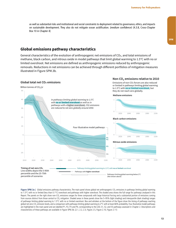as well as substantial risks and institutional and social constraints to deployment related to governance, ethics, and impacts on sustainable development. They also do not mitigate ocean acidification. (medium confidence) {4.3.8, Cross-Chapter Box 10 in Chapter 4}

#### **Global emissions pathway characteristics**

General characteristics of the evolution of anthropogenic net emissions of CO2, and total emissions of methane, black carbon, and nitrous oxide in model pathways that limit global warming to 1.5°C with no or limited overshoot. Net emissions are defined as anthropogenic emissions reduced by anthropogenic removals. Reductions in net emissions can be achieved through different portfolios of mitigation measures illustrated in Figure SPM.3b.

## 50 Billion tonnes of CO<sub>2</sub>/yr

**Global total net CO2 emissions**

-20

-10

10

20

30

40

**Non-CO2 emissions relative to 2010**

Emissions of non-CO2 forcers are also reduced or limited in pathways limiting global warming to 1.5°C with **no or limited overshoot**, but they do not reach zero globally.



Figure SPM.3a | Global emissions pathway characteristics. The main panel shows global net anthropogenic CO<sub>2</sub> emissions in pathways limiting global warming to 1.5°C with no or limited (less than 0.1°C) overshoot and pathways with higher overshoot. The shaded area shows the full range for pathways analysed in this Report. The panels on the right show non-CO<sub>2</sub> emissions ranges for three compounds with large historical forcing and a substantial portion of emissions coming from sources distinct from those central to CO<sub>2</sub> mitigation. Shaded areas in these panels show the 5–95% (light shading) and interquartile (dark shading) ranges of pathways limiting global warming to 1.5°C with no or limited overshoot. Box and whiskers at the bottom of the figure show the timing of pathways reaching global net zero CO<sub>2</sub> emission levels, and a comparison with pathways limiting global warming to 2°C with at least 66% probability. Four illustrative model pathways are highlighted in the main panel and are labelled P1, P2, P3 and P4, corresponding to the LED, S1, S2, and S5 pathways assessed in Chapter 2. Descriptions and characteristics of these pathways are available in Figure SPM.3b. {2.1, 2.2, 2.3, Figure 2.5, Figure 2.10, Figure 2.11}

SPM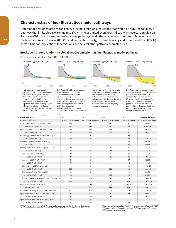#### **Characteristics of four illustrative model pathways**

Different mitigation strategies can achieve the net emissions reductions that would be required to follow a pathway that limits global warming to 1.5°C with no or limited overshoot. All pathways use Carbon Dioxide Removal (CDR), but the amount varies across pathways, as do the relative contributions of Bioenergy with Carbon Capture and Storage (BECCS) and removals in the Agriculture, Forestry and Other Land Use (AFOLU) sector. This has implications for emissions and several other pathway characteristics.

#### P1: A scenario in which social. business and technological innovations result in lower energy demand up to 2050 while living standards rise, especially in the global South. A downsized energy system enables rapid decarbonization of energy supply. Afforestation is the only CDR option considered; neither fossil fuels with CCS nor BECCS are used. P2: A scenario with a broad focus on sustainability including energy intensity, human development, economic convergence and international cooperation, as well as shifts towards sustainable and healthy consumption patterns, low-carbon technology innovation, and well-managed land systems with limited societal acceptability for BECCS. P3: A middle-of-the-road scenario in which societal as well as technological development follows historical patterns. Emissions reductions are mainly achieved by changing the way in which energy and products are produced, and to a lesser degree by reductions in demand. P4: A resource- and energy-intensive scenario in which economic growth and globalization lead to widespread adoption of greenhouse-gas-intensive lifestyles, including high demand for transportation fuels and livestock products. Emissions reductions are mainly achieved through technological means, making strong use of CDR through the deployment of BECCS. **C** Fossil fuel and industry **C** AFOLU **C** BECCS  $-20$  $\theta$ 20 40 2020 2060 2100  $-20$  $\theta$ 20 40 2020 2060 2100 -20  $\theta$ 20 40 2020 2060 2100  $-20$  $\theta$ 20 40 2020 2060 2100 No or limited overshoot -58 -93 -50 -82 -15 -32 60 77 -78 -97 -37 -87 -25 -74 59 150 -11 -16 430 833 0  $\pmb{0}$  $0.2$  $-24$ -33 5 6 Pathway classification CO2 emission change in 2030 (% rel to 2010)  $\overline{\phantom{a}}$  in 2050 (% rel to 2010) Kyoto-GHG emissions\* in 2030 (% rel to 2010)  $\ln$  in 2050 (% rel to 2010) Final energy demand\*\* in 2030 (% rel to 2010)  $\ln 2050$  (% rel to 2010) Renewable share in electricity in 2030 (%)  $\ln 2050 (%)$ Primary energy from coal in 2030 (% rel to 2010)  $\frac{1}{2}$  in 2050 (% rel to 2010) from oil in 2030 (% rel to 2010)  $\overline{\phantom{a}}$  in 2050 (% rel to 2010) from gas in 2030 (% rel to 2010)  $\ln$  in 2050 (% rel to 2010) from nuclear in 2030 (% rel to 2010)  $\ln$  in 2050 (% rel to 2010) from biomass in 2030 (% rel to 2010)  $\frac{1}{2}$  in 2050 (% rel to 2010) from non-biomass renewables in 2030 (% rel to 2010)  $\overline{\phantom{a}}$  in 2050 (% rel to 2010) Cumulative CCS until 2100 (GtCO2)  $\overline{\phantom{a}}$  of which BECCS (GtCO<sub>2</sub>) Land area of bioenergy crops in 2050 (million km2) Agricultural CH4 emissions in 2030 (% rel to 2010) in 2050 (% rel to 2010) Agricultural N2O emissions in 2030 (% rel to 2010) in 2050 (% rel to 2010) No or limited overshoot  $-47$ -95 -49 -89 -5 2 58 81 -61 -77 -13 -50 -20 -53 83 98  $\Omega$ 49 470 1327 348 151 0.9 -48 -69  $-26$ -26 No or limited overshoot  $-41$ -91 -35 -78 17 21 48 63 -75 -73 -3 -81 33  $21$ 98 501 36 121 315 878 687 414 2.8 1 -23 15  $\Omega$ Higher overshoot 4 -97 -2 -80 39 44 25 70 -59 -97 86 -32 37 -48 106 468 -1 418 110 1137 1218 1191 7.2 14  $\mathfrak{p}$ 3 39 No or limited overshoot (-58,-40) (-107,-94) (-51,-39) (-93,-81) (-12,7) (-11,22) (47,65) (69,86) (-78, -59) (-95, -74) (-34,3) (-78,-31) (-26,21) (-56,6) (44,102) (91,190) (29,80) (123,261) (245,436) (576,1299) (550,1017) (364,662) (1.5,3.2) (-30,-11) (-47,-24) (-21,3) (-26,1) P1  $^{40}$  P2  $^{40}$  P3  $^{40}$  P4 P1 P2 P3 P4 **Interquartile range** Billion tonnes CO<sub>2</sub> per year (GtCO<sub>2</sub>/yr) **Global indicators** Billion tonnes CO<sub>2</sub> per year (GtCO<sub>2</sub>/yr) Billion tonnes CO<sub>2</sub> per year (GtCO<sub>2</sub>/yr) Billion tonnes CO<sub>2</sub> per year (GtCO<sub>2</sub>/yr)

Breakdown of contributions to global net CO<sub>2</sub> emissions in four illustrative model pathways

NOTE: Indicators have been selected to show global trends identified by the Chapter 2 assessment. National and sectoral characteristics can differ substantially from the global trends shown above.

\* Kyoto-gas emissions are based on IPCC Second Assessment Report GWP-100 \*\* Changes in energy demand are associated with improvements in energy efficiency and behaviour change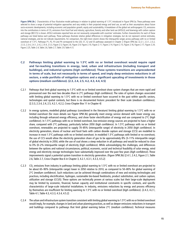Figure SPM.3b | Characteristics of four illustrative model pathways in relation to global warming of 1.5°C introduced in Figure SPM.3a. These pathways were selected to show a range of potential mitigation approaches and vary widely in their projected energy and land use, as well as their assumptions about future socio-economic developments, including economic and population growth, equity and sustainability. A breakdown of the global net anthropogenic CO<sub>2</sub> emissions into the contributions in terms of  $CO_2$  emissions from fossil fuel and industry; agriculture, forestry and other land use (AFOLU); and bioenergy with carbon capture and storage (BECCS) is shown. AFOLU estimates reported here are not necessarily comparable with countries' estimates. Further characteristics for each of these pathways are listed below each pathway. These pathways illustrate relative global differences in mitigation strategies, but do not represent central estimates, national strategies, and do not indicate requirements. For comparison, the right-most column shows the interquartile ranges across pathways with no or limited overshoot of 1.5°C. Pathways P1, P2, P3 and P4 correspond to the LED, S1, S2 and S5 pathways assessed in Chapter 2 (Figure SPM.3a). {2.2.1, 2.3.1, 2.3.2, 2.3.3, 2.3.4, 2.4.1, 2.4.2, 2.4.4, 2.5.3, Figure 2.5, Figure 2.6, Figure 2.9, Figure 2.10, Figure 2.11, Figure 2.14, Figure 2.15, Figure 2.16, Figure 2.17, Figure 2.24, Figure 2.25, Table 2.4, Table 2.6, Table 2.7, Table 2.9, Table 4.1}

- **C.2 Pathways limiting global warming to 1.5°C with no or limited overshoot would require rapid and far-reaching transitions in energy, land, urban and infrastructure (including transport and buildings), and industrial systems (***high confidence***). These systems transitions are unprecedented in terms of scale, but not necessarily in terms of speed, and imply deep emissions reductions in all sectors, a wide portfolio of mitigation options and a significant upscaling of investments in those options (***medium confidence***). {2.3, 2.4, 2.5, 4.2, 4.3, 4.4, 4.5}**
- C.2.1 Pathways that limit global warming to 1.5°C with no or limited overshoot show system changes that are more rapid and pronounced over the next two decades than in 2°C pathways (high confidence). The rates of system changes associated with limiting global warming to 1.5°C with no or limited overshoot have occurred in the past within specific sectors, technologies and spatial contexts, but there is no documented historic precedent for their scale (*medium confidence*). {2.3.3, 2.3.4, 2.4, 2.5, 4.2.1, 4.2.2, Cross-Chapter Box 11 in Chapter 4}
- C.2.2 In energy systems, modelled global pathways (considered in the literature) limiting global warming to 1.5°C with no or limited overshoot (for more details see Figure SPM.3b) generally meet energy service demand with lower energy use, including through enhanced energy efficiency, and show faster electrification of energy end use compared to 2°C (high confidence). In 1.5°C pathways with no or limited overshoot, low-emission energy sources are projected to have a higher share, compared with 2°C pathways, particularly before 2050 (high confidence). In 1.5°C pathways with no or limited overshoot, renewables are projected to supply 70–85% (interquartile range) of electricity in 2050 (high confidence). In electricity generation, shares of nuclear and fossil fuels with carbon dioxide capture and storage (CCS) are modelled to increase in most 1.5°C pathways with no or limited overshoot. In modelled 1.5°C pathways with limited or no overshoot, the use of CCS would allow the electricity generation share of gas to be approximately 8% (3–11% interquartile range) of global electricity in 2050, while the use of coal shows a steep reduction in all pathways and would be reduced to close to 0% (0–2% interquartile range) of electricity (high confidence). While acknowledging the challenges, and differences between the options and national circumstances, political, economic, social and technical feasibility of solar energy, wind energy and electricity storage technologies have substantially improved over the past few years (high confidence). These improvements signal a potential system transition in electricity generation. (Figure SPM.3b) {2.4.1, 2.4.2, Figure 2.1, Table 2.6, Table 2.7, Cross-Chapter Box 6 in Chapter 3, 4.2.1, 4.3.1, 4.3.3, 4.5.2}
- C.2.3 CO<sub>2</sub> emissions from industry in pathways limiting global warming to 1.5 $\degree$ C with no or limited overshoot are projected to be about 65–90% (interquartile range) lower in 2050 relative to 2010, as compared to 50–80% for global warming of 2°C (medium confidence). Such reductions can be achieved through combinations of new and existing technologies and practices, including electrification, hydrogen, sustainable bio-based feedstocks, product substitution, and carbon capture, utilization and storage (CCUS). These options are technically proven at various scales but their large-scale deployment may be limited by economic, financial, human capacity and institutional constraints in specific contexts, and specific characteristics of large-scale industrial installations. In industry, emissions reductions by energy and process efficiency by themselves are insufficient for limiting warming to 1.5°C with no or limited overshoot (high confidence). {2.4.3, 4.2.1, Table 4.1, Table 4.3, 4.3.3, 4.3.4, 4.5.2}
- C.2.4 The urban and infrastructure system transition consistent with limiting global warming to 1.5°C with no or limited overshoot would imply, for example, changes in land and urban planning practices, as well as deeper emissions reductions in transport and buildings compared to pathways that limit global warming below 2°C (medium confidence). Technical measures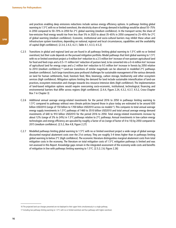and practices enabling deep emissions reductions include various energy efficiency options. In pathways limiting global warming to 1.5°C with no or limited overshoot, the electricity share of energy demand in buildings would be about 55–75% in 2050 compared to 50–70% in 2050 for  $2^{\circ}$ C global warming (*medium confidence*). In the transport sector, the share of low-emission final energy would rise from less than 5% in 2020 to about 35–65% in 2050 compared to 25–45% for 2°C of global warming (medium confidence). Economic, institutional and socio-cultural barriers may inhibit these urban and infrastructure system transitions, depending on national, regional and local circumstances, capabilities and the availability of capital (high confidence). {2.3.4, 2.4.3, 4.2.1, Table 4.1, 4.3.3, 4.5.2}

- C.2.5 Transitions in global and regional land use are found in all pathways limiting global warming to 1.5°C with no or limited overshoot, but their scale depends on the pursued mitigation portfolio. Model pathways that limit global warming to 1.5°C with no or limited overshoot project a 4 million km<sup>2</sup> reduction to a 2.5 million km<sup>2</sup> increase of non-pasture agricultural land for food and feed crops and a 0.5–11 million km<sup>2</sup> reduction of pasture land, to be converted into a 0–6 million km<sup>2</sup> increase of agricultural land for energy crops and a 2 million km<sup>2</sup> reduction to 9.5 million km<sup>2</sup> increase in forests by 2050 relative to 2010 (medium confidence).<sup>16</sup> Land-use transitions of similar magnitude can be observed in modelled 2°C pathways (medium confidence). Such large transitions pose profound challenges for sustainable management of the various demands on land for human settlements, food, livestock feed, fibre, bioenergy, carbon storage, biodiversity and other ecosystem services (high confidence). Mitigation options limiting the demand for land include sustainable intensification of land-use practices, ecosystem restoration and changes towards less resource-intensive diets (high confidence). The implementation of land-based mitigation options would require overcoming socio-economic, institutional, technological, financing and environmental barriers that differ across regions (high confidence). {2.4.4, Figure 2.24, 4.3.2, 4.3.7, 4.5.2, Cross-Chapter Box 7 in Chapter 3}
- C.2.6 Additional annual average energy-related investments for the period 2016 to 2050 in pathways limiting warming to 1.5°C compared to pathways without new climate policies beyond those in place today are estimated to be around 830 billion USD2010 (range of 150 billion to 1700 billion USD2010 across six models<sup>17</sup>). This compares to total annual average energy supply investments in 1.5°C pathways of 1460 to 3510 billion USD2010 and total annual average energy demand investments of 640 to 910 billion USD2010 for the period 2016 to 2050. Total energy-related investments increase by about 12% (range of 3% to 24%) in 1.5°C pathways relative to 2°C pathways. Annual investments in low-carbon energy technologies and energy efficiency are upscaled by roughly a factor of six (range of factor of 4 to 10) by 2050 compared to 2015 (medium confidence). {2.5.2, Box 4.8, Figure 2.27}
- C.2.7 Modelled pathways limiting global warming to 1.5°C with no or limited overshoot project a wide range of global average discounted marginal abatement costs over the 21st century. They are roughly 3-4 times higher than in pathways limiting global warming to below 2°C (high confidence). The economic literature distinguishes marginal abatement costs from total mitigation costs in the economy. The literature on total mitigation costs of 1.5°C mitigation pathways is limited and was not assessed in this Report. Knowledge gaps remain in the integrated assessment of the economy-wide costs and benefits of mitigation in line with pathways limiting warming to 1.5°C. {2.5.2; 2.6; Figure 2.26}

<sup>16</sup> The projected land-use changes presented are not deployed to their upper limits simultaneously in a single pathway.

<sup>17</sup> Including two pathways limiting warming to 1.5°C with no or limited overshoot and four pathways with higher overshoot.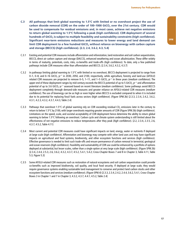- **C.3 All pathways that limit global warming to 1.5°C with limited or no overshoot project the use of**  carbon dioxide removal (CDR) on the order of 100-1000 GtCO<sub>2</sub> over the 21st century. CDR would **be used to compensate for residual emissions and, in most cases, achieve net negative emissions to return global warming to 1.5°C following a peak (***high confidence***). CDR deployment of several hundreds of GtCO2 is subject to multiple feasibility and sustainability constraints (***high confidence***). Significant near-term emissions reductions and measures to lower energy and land demand can**  limit CDR deployment to a few hundred GtCO<sub>2</sub> without reliance on bioenergy with carbon capture **and storage (BECCS) (***high confidenc***e). {2.3, 2.4, 3.6.2, 4.3, 5.4}**
- C.3.1 Existing and potential CDR measures include afforestation and reforestation, land restoration and soil carbon sequestration, BECCS, direct air carbon capture and storage (DACCS), enhanced weathering and ocean alkalinization. These differ widely in terms of maturity, potentials, costs, risks, co-benefits and trade-offs (high confidence). To date, only a few published pathways include CDR measures other than afforestation and BECCS. {2.3.4, 3.6.2, 4.3.2, 4.3.7}
- C.3.2 In pathways limiting global warming to 1.5°C with limited or no overshoot, BECCS deployment is projected to range from 0–1, 0–8, and 0–16 GtCO2 yr−1 in 2030, 2050, and 2100, respectively, while agriculture, forestry and land-use (AFOLU) related CDR measures are projected to remove 0–5, 1–11, and 1–5 GtCO<sub>2</sub> yr<sup>-1</sup> in these years (medium confidence). The upper end of these deployment ranges by mid-century exceeds the BECCS potential of up to 5 GtCO<sub>2</sub> yr<sup>-1</sup> and afforestation potential of up to 3.6 GtCO<sub>2</sub> yr<sup>−1</sup> assessed based on recent literature (medium confidence). Some pathways avoid BECCS deployment completely through demand-side measures and greater reliance on AFOLU-related CDR measures (medium confidence). The use of bioenergy can be as high or even higher when BECCS is excluded compared to when it is included due to its potential for replacing fossil fuels across sectors (high confidence). (Figure SPM.3b) {2.3.3, 2.3.4, 2.4.2, 3.6.2, 4.3.1, 4.2.3, 4.3.2, 4.3.7, 4.4.3, Table 2.4}
- C.3.3 Pathways that overshoot 1.5 $^{\circ}$ C of global warming rely on CDR exceeding residual CO<sub>2</sub> emissions later in the century to return to below 1.5°C by 2100, with larger overshoots requiring greater amounts of CDR (Figure SPM.3b) (high confidence). Limitations on the speed, scale, and societal acceptability of CDR deployment hence determine the ability to return global warming to below 1.5°C following an overshoot. Carbon cycle and climate system understanding is still limited about the effectiveness of net negative emissions to reduce temperatures after they peak (high confidence). {2.2, 2.3.4, 2.3.5, 2.6, 4.3.7, 4.5.2, Table 4.11}
- C.3.4 Most current and potential CDR measures could have significant impacts on land, energy, water or nutrients if deployed at large scale (high confidence). Afforestation and bioenergy may compete with other land uses and may have significant impacts on agricultural and food systems, biodiversity, and other ecosystem functions and services (high confidence). Effective governance is needed to limit such trade-offs and ensure permanence of carbon removal in terrestrial, geological and ocean reservoirs (high confidence). Feasibility and sustainability of CDR use could be enhanced by a portfolio of options deployed at substantial, but lesser scales, rather than a single option at very large scale (high confidence). (Figure SPM.3b) {2.3.4, 2.4.4, 2.5.3, 2.6, 3.6.2, 4.3.2, 4.3.7, 4.5.2, 5.4.1, 5.4.2; Cross-Chapter Boxes 7 and 8 in Chapter 3, Table 4.11, Table 5.3, Figure 5.3}
- C.3.5 Some AFOLU-related CDR measures such as restoration of natural ecosystems and soil carbon sequestration could provide co-benefits such as improved biodiversity, soil quality, and local food security. If deployed at large scale, they would require governance systems enabling sustainable land management to conserve and protect land carbon stocks and other ecosystem functions and services (medium confidence). (Figure SPM.4) {2.3.3, 2.3.4, 2.4.2, 2.4.4, 3.6.2, 5.4.1, Cross-Chapter Boxes 3 in Chapter 1 and 7 in Chapter 3, 4.3.2, 4.3.7, 4.4.1, 4.5.2, Table 2.4}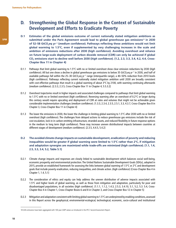### **D. Strengthening the Global Response in the Context of Sustainable Development and Efforts to Eradicate Poverty**

- **D.1 Estimates of the global emissions outcome of current nationally stated mitigation ambitions as submitted under the Paris Agreement would lead to global greenhouse gas emissions**18 **in 2030 of 52–58 GtCO2eq yr−1 (***medium confidence***). Pathways reflecting these ambitions would not limit global warming to 1.5°C, even if supplemented by very challenging increases in the scale and ambition of emissions reductions after 2030 (***high confidence***). Avoiding overshoot and reliance on future large-scale deployment of carbon dioxide removal (CDR) can only be achieved if global CO2 emissions start to decline well before 2030 (***high confidence***). {1.2, 2.3, 3.3, 3.4, 4.2, 4.4, Cross-Chapter Box 11 in Chapter 4}**
- D.1.1 Pathways that limit global warming to 1.5°C with no or limited overshoot show clear emission reductions by 2030 (high confidence). All but one show a decline in global greenhouse gas emissions to below 35 GtCO<sub>2</sub>eq yr<sup>−1</sup> in 2030, and half of available pathways fall within the 25–30 GtCO<sub>2</sub>eq yr<sup>-1</sup> range (interguartile range), a 40–50% reduction from 2010 levels (high confidence). Pathways reflecting current nationally stated mitigation ambition until 2030 are broadly consistent with cost-effective pathways that result in a global warming of about 3°C by 2100, with warming continuing afterwards (medium confidence). {2.3.3, 2.3.5, Cross-Chapter Box 11 in Chapter 4, 5.5.3.2}
- D.1.2 Overshoot trajectories result in higher impacts and associated challenges compared to pathways that limit global warming to 1.5°C with no or limited overshoot (high confidence). Reversing warming after an overshoot of 0.2°C or larger during this century would require upscaling and deployment of CDR at rates and volumes that might not be achievable given considerable implementation challenges (medium confidence). {1.3.3, 2.3.4, 2.3.5, 2.5.1, 3.3, 4.3.7, Cross-Chapter Box 8 in Chapter 3, Cross-Chapter Box 11 in Chapter 4}
- D.1.3 The lower the emissions in 2030, the lower the challenge in limiting global warming to 1.5°C after 2030 with no or limited overshoot (high confidence). The challenges from delayed actions to reduce greenhouse gas emissions include the risk of cost escalation, lock-in in carbon-emitting infrastructure, stranded assets, and reduced flexibility in future response options in the medium to long term (high confidence). These may increase uneven distributional impacts between countries at different stages of development (*medium confidence*). {2.3.5, 4.4.5, 5.4.2}
- **D.2 The avoided climate change impacts on sustainable development, eradication of poverty and reducing inequalities would be greater if global warming were limited to 1.5°C rather than 2°C, if mitigation and adaptation synergies are maximized while trade-offs are minimized (***high confidence***). {1.1, 1.4, 2.5, 3.3, 3.4, 5.2, Table 5.1}**
- D.2.1 Climate change impacts and responses are closely linked to sustainable development which balances social well-being, economic prosperity and environmental protection. The United Nations Sustainable Development Goals (SDGs), adopted in 2015, provide an established framework for assessing the links between global warming of 1.5°C or 2°C and development goals that include poverty eradication, reducing inequalities, and climate action. (high confidence) {Cross-Chapter Box 4 in Chapter 1, 1.4, 5.1}
- D.2.2 The consideration of ethics and equity can help address the uneven distribution of adverse impacts associated with 1.5°C and higher levels of global warming, as well as those from mitigation and adaptation, particularly for poor and disadvantaged populations, in all societies (high confidence). {1.1.1, 1.1.2, 1.4.3, 2.5.3, 3.4.10, 5.1, 5.2, 5.3. 5.4, Cross-Chapter Box 4 in Chapter 1, Cross-Chapter Boxes 6 and 8 in Chapter 3, and Cross-Chapter Box 12 in Chapter 5}
- D.2.3 Mitigation and adaptation consistent with limiting global warming to 1.5°C are underpinned by enabling conditions, assessed in this Report across the geophysical, environmental-ecological, technological, economic, socio-cultural and institutional

<sup>18</sup> GHG emissions have been aggregated with 100-year GWP values as introduced in the IPCC Second Assessment Report.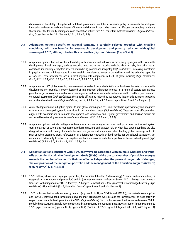dimensions of feasibility. Strengthened multilevel governance, institutional capacity, policy instruments, technological innovation and transfer and mobilization of finance, and changes in human behaviour and lifestyles are enabling conditions that enhance the feasibility of mitigation and adaptation options for 1.5°C-consistent systems transitions. (high confidence) {1.4, Cross-Chapter Box 3 in Chapter 1, 2.5.1, 4.4, 4.5, 5.6}

#### **D.3 Adaptation options specific to national contexts, if carefully selected together with enabling conditions, will have benefits for sustainable development and poverty reduction with global warming of 1.5°C, although trade-offs are possible (***high confidence***). {1.4, 4.3, 4.5}**

- D.3.1 Adaptation options that reduce the vulnerability of human and natural systems have many synergies with sustainable development, if well managed, such as ensuring food and water security, reducing disaster risks, improving health conditions, maintaining ecosystem services and reducing poverty and inequality (high confidence). Increasing investment in physical and social infrastructure is a key enabling condition to enhance the resilience and the adaptive capacities of societies. These benefits can occur in most regions with adaptation to 1.5°C of global warming (high confidence). {1.4.3, 4.2.2, 4.3.1, 4.3.2, 4.3.3, 4.3.5, 4.4.1, 4.4.3, 4.5.3, 5.3.1, 5.3.2}
- D.3.2 Adaptation to 1.5°C global warming can also result in trade-offs or maladaptations with adverse impacts for sustainable development. For example, if poorly designed or implemented, adaptation projects in a range of sectors can increase greenhouse gas emissions and water use, increase gender and social inequality, undermine health conditions, and encroach on natural ecosystems (high confidence). These trade-offs can be reduced by adaptations that include attention to poverty and sustainable development (high confidence). {4.3.2, 4.3.3, 4.5.4, 5.3.2; Cross-Chapter Boxes 6 and 7 in Chapter 3}
- D.3.3 A mix of adaptation and mitigation options to limit global warming to 1.5°C, implemented in a participatory and integrated manner, can enable rapid, systemic transitions in urban and rural areas (high confidence). These are most effective when aligned with economic and sustainable development, and when local and regional governments and decision makers are supported by national governments (medium confidence). {4.3.2, 4.3.3, 4.4.1, 4.4.2}
- D.3.4 Adaptation options that also mitigate emissions can provide synergies and cost savings in most sectors and system transitions, such as when land management reduces emissions and disaster risk, or when low-carbon buildings are also designed for efficient cooling. Trade-offs between mitigation and adaptation, when limiting global warming to 1.5°C, such as when bioenergy crops, reforestation or afforestation encroach on land needed for agricultural adaptation, can undermine food security, livelihoods, ecosystem functions and services and other aspects of sustainable development. (high confidence) {3.4.3, 4.3.2, 4.3.4, 4.4.1, 4.5.2, 4.5.3, 4.5.4}
- **D.4 Mitigation options consistent with 1.5°C pathways are associated with multiple synergies and tradeoffs across the Sustainable Development Goals (SDGs). While the total number of possible synergies exceeds the number of trade-offs, their net effect will depend on the pace and magnitude of changes, the composition of the mitigation portfolio and the management of the transition. (***high confidence***) (Figure SPM.4) {2.5, 4.5, 5.4}**
- D.4.1 1.5°C pathways have robust synergies particularly for the SDGs 3 (health), 7 (clean energy), 11 (cities and communities), 12 (responsible consumption and production) and 14 (oceans) (very high confidence). Some 1.5°C pathways show potential trade-offs with mitigation for SDGs 1 (poverty), 2 (hunger), 6 (water) and 7 (energy access), if not managed carefully (high confidence). (Figure SPM.4) {5.4.2; Figure 5.4, Cross-Chapter Boxes 7 and 8 in Chapter 3}
- D.4.2 1.5°C pathways that include low energy demand (e.g., see P1 in Figure SPM.3a and SPM.3b), low material consumption, and low GHG-intensive food consumption have the most pronounced synergies and the lowest number of trade-offs with respect to sustainable development and the SDGs (high confidence). Such pathways would reduce dependence on CDR. In modelled pathways, sustainable development, eradicating poverty and reducing inequality can support limiting warming to 1.5°C (high confidence). (Figure SPM.3b, Figure SPM.4) {2.4.3, 2.5.1, 2.5.3, Figure 2.4, Figure 2.28, 5.4.1, 5.4.2, Figure 5.4}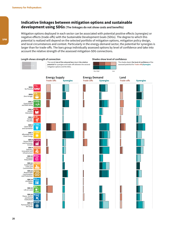#### **Indicative linkages between mitigation options and sustainable development using SDGs (The linkages do not show costs and benefits)**

Mitigation options deployed in each sector can be associated with potential positive effects (synergies) or negative effects (trade-offs) with the Sustainable Development Goals (SDGs). The degree to which this potential is realized will depend on the selected portfolio of mitigation options, mitigation policy design, and local circumstances and context. Particularly in the energy-demand sector, the potential for synergies is larger than for trade-offs. The bars group individually assessed options by level of confidence and take into account the relative strength of the assessed mitigation-SDG connections.

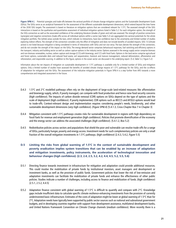Figure SPM.4 | Potential synergies and trade-offs between the sectoral portfolio of climate change mitigation options and the Sustainable Development Goals (SDGs). The SDGs serve as an analytical framework for the assessment of the different sustainable development dimensions, which extend beyond the time frame of the 2030 SDG targets. The assessment is based on literature on mitigation options that are considered relevant for 1.5°C. The assessed strength of the SDG interactions is based on the qualitative and quantitative assessment of individual mitigation options listed in Table 5.2. For each mitigation option, the strength of the SDG-connection as well as the associated confidence of the underlying literature (shades of green and red) was assessed. The strength of positive connections (synergies) and negative connections (trade-offs) across all individual options within a sector (see Table 5.2) are aggregated into sectoral potentials for the whole mitigation portfolio. The (white) areas outside the bars, which indicate no interactions, have low confidence due to the uncertainty and limited number of studies exploring indirect effects. The strength of the connection considers only the effect of mitigation and does not include benefits of avoided impacts. SDG 13 (climate action) is not listed because mitigation is being considered in terms of interactions with SDGs and not vice versa. The bars denote the strength of the connection, and do not consider the strength of the impact on the SDGs. The energy demand sector comprises behavioural responses, fuel switching and efficiency options in the transport, industry and building sector as well as carbon capture options in the industry sector. Options assessed in the energy supply sector comprise biomass and non-biomass renewables, nuclear, carbon capture and storage (CCS) with bioenergy, and CCS with fossil fuels. Options in the land sector comprise agricultural and forest options, sustainable diets and reduced food waste, soil sequestration, livestock and manure management, reduced deforestation, afforestation and reforestation, and responsible sourcing. In addition to this figure, options in the ocean sector are discussed in the underlying report. {5.4, Table 5.2, Figure 5.2}

Information about the net impacts of mitigation on sustainable development in 1.5°C pathways is available only for a limited number of SDGs and mitigation options. Only a limited number of studies have assessed the benefits of avoided climate change impacts of 1.5°C pathways for the SDGs, and the co-effects of adaptation for mitigation and the SDGs. The assessment of the indicative mitigation potentials in Figure SPM.4 is a step further from AR5 towards a more comprehensive and integrated assessment in the future.

- D.4.3 1.5°C and 2°C modelled pathways often rely on the deployment of large-scale land-related measures like afforestation and bioenergy supply, which, if poorly managed, can compete with food production and hence raise food security concerns (high confidence). The impacts of carbon dioxide removal (CDR) options on SDGs depend on the type of options and the scale of deployment (high confidence). If poorly implemented, CDR options such as BECCS and AFOLU options would lead to trade-offs. Context-relevant design and implementation requires considering people's needs, biodiversity, and other sustainable development dimensions (very high confidence). (Figure SPM.4) {5.4.1.3, Cross-Chapter Box 7 in Chapter 3}
- D.4.4 Mitigation consistent with 1.5°C pathways creates risks for sustainable development in regions with high dependency on fossil fuels for revenue and employment generation (high confidence). Policies that promote diversification of the economy and the energy sector can address the associated challenges (high confidence). {5.4.1.2, Box 5.2}
- D.4.5 Redistributive policies across sectors and populations that shield the poor and vulnerable can resolve trade-offs for a range of SDGs, particularly hunger, poverty and energy access. Investment needs for such complementary policies are only a small fraction of the overall mitigation investments in 1.5°C pathways. (high confidence) {2.4.3, 5.4.2, Figure 5.5}
- **D.5 Limiting the risks from global warming of 1.5°C in the context of sustainable development and poverty eradication implies system transitions that can be enabled by an increase of adaptation and mitigation investments, policy instruments, the acceleration of technological innovation and behaviour changes (***high confidence***). {2.3, 2.4, 2.5, 3.2, 4.2, 4.4, 4.5, 5.2, 5.5, 5.6}**
- D.5.1 Directing finance towards investment in infrastructure for mitigation and adaptation could provide additional resources. This could involve the mobilization of private funds by institutional investors, asset managers and development or investment banks, as well as the provision of public funds. Government policies that lower the risk of low-emission and adaptation investments can facilitate the mobilization of private funds and enhance the effectiveness of other public policies. Studies indicate a number of challenges, including access to finance and mobilization of funds. (high confidence) {2.5.1, 2.5.2, 4.4.5}
- D.5.2 Adaptation finance consistent with global warming of 1.5°C is difficult to quantify and compare with 2°C. Knowledge gaps include insufficient data to calculate specific climate resilience-enhancing investments from the provision of currently underinvested basic infrastructure. Estimates of the costs of adaptation might be lower at global warming of 1.5°C than for 2°C. Adaptation needs have typically been supported by public sector sources such as national and subnational government budgets, and in developing countries together with support from development assistance, multilateral development banks, and United Nations Framework Convention on Climate Change channels (medium confidence). More recently there is a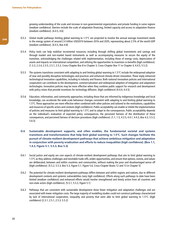growing understanding of the scale and increase in non-governmental organizations and private funding in some regions (medium confidence). Barriers include the scale of adaptation financing, limited capacity and access to adaptation finance (medium confidence). {4.4.5, 4.6}

- D.5.3 Global model pathways limiting global warming to 1.5°C are projected to involve the annual average investment needs in the energy system of around 2.4 trillion USD2010 between 2016 and 2035, representing about 2.5% of the world GDP (medium confidence). {4.4.5, Box 4.8}
- D.5.4 Policy tools can help mobilize incremental resources, including through shifting global investments and savings and through market and non-market based instruments as well as accompanying measures to secure the equity of the transition, acknowledging the challenges related with implementation, including those of energy costs, depreciation of assets and impacts on international competition, and utilizing the opportunities to maximize co-benefits (high confidence). {1.3.3, 2.3.4, 2.3.5, 2.5.1, 2.5.2, Cross-Chapter Box 8 in Chapter 3, Cross-Chapter Box 11 in Chapter 4, 4.4.5, 5.5.2}
- D.5.5 The systems transitions consistent with adapting to and limiting global warming to 1.5°C include the widespread adoption of new and possibly disruptive technologies and practices and enhanced climate-driven innovation. These imply enhanced technological innovation capabilities, including in industry and finance. Both national innovation policies and international cooperation can contribute to the development, commercialization and widespread adoption of mitigation and adaptation technologies. Innovation policies may be more effective when they combine public support for research and development with policy mixes that provide incentives for technology diffusion. (*high confidence*)  $\{4.4.4, 4.4.5\}$ .
- D.5.6 Education, information, and community approaches, including those that are informed by indigenous knowledge and local knowledge, can accelerate the wide-scale behaviour changes consistent with adapting to and limiting global warming to 1.5°C. These approaches are more effective when combined with other policies and tailored to the motivations, capabilities and resources of specific actors and contexts (high confidence). Public acceptability can enable or inhibit the implementation of policies and measures to limit global warming to 1.5°C and to adapt to the consequences. Public acceptability depends on the individual's evaluation of expected policy consequences, the perceived fairness of the distribution of these consequences, and perceived fairness of decision procedures (high confidence). {1.1, 1.5, 4.3.5, 4.4.1, 4.4.3, Box 4.3, 5.5.3, 5.6.5}
- **D.6 Sustainable development supports, and often enables, the fundamental societal and systems transitions and transformations that help limit global warming to 1.5°C. Such changes facilitate the pursuit of climate-resilient development pathways that achieve ambitious mitigation and adaptation in conjunction with poverty eradication and efforts to reduce inequalities (***high confidenc***e). {Box 1.1, 1.4.3, Figure 5.1, 5.5.3, Box 5.3}**
- D.6.1 Social justice and equity are core aspects of climate-resilient development pathways that aim to limit global warming to 1.5°C as they address challenges and inevitable trade-offs, widen opportunities, and ensure that options, visions, and values are deliberated, between and within countries and communities, without making the poor and disadvantaged worse off (high confidence). {5.5.2, 5.5.3, Box 5.3, Figure 5.1, Figure 5.6, Cross-Chapter Boxes 12 and 13 in Chapter 5}
- D.6.2 The potential for climate-resilient development pathways differs between and within regions and nations, due to different development contexts and systemic vulnerabilities (very high confidence). Efforts along such pathways to date have been limited (medium confidence) and enhanced efforts would involve strengthened and timely action from all countries and non-state actors (high confidence). {5.5.1, 5.5.3, Figure 5.1}
- D.6.3 Pathways that are consistent with sustainable development show fewer mitigation and adaptation challenges and are associated with lower mitigation costs. The large majority of modelling studies could not construct pathways characterized by lack of international cooperation, inequality and poverty that were able to limit global warming to 1.5°C. (high confidence) {2.3.1, 2.5.1, 2.5.3, 5.5.2}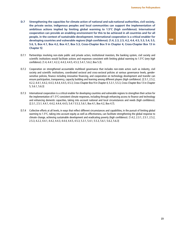- **D.7 Strengthening the capacities for climate action of national and sub-national authorities, civil society, the private sector, indigenous peoples and local communities can support the implementation of ambitious actions implied by limiting global warming to 1.5°C (***high confidence***). International cooperation can provide an enabling environment for this to be achieved in all countries and for all people, in the context of sustainable development. International cooperation is a critical enabler for developing countries and vulnerable regions (***high confidence***). {1.4, 2.3, 2.5, 4.2, 4.4, 4.5, 5.3, 5.4, 5.5, 5.6, 5, Box 4.1, Box 4.2, Box 4.7, Box 5.3, Cross-Chapter Box 9 in Chapter 4, Cross-Chapter Box 13 in Chapter 5}**
- D.7.1 Partnerships involving non-state public and private actors, institutional investors, the banking system, civil society and scientific institutions would facilitate actions and responses consistent with limiting global warming to 1.5°C (very high confidence). {1.4, 4.4.1, 4.2.2, 4.4.3, 4.4.5, 4.5.3, 5.4.1, 5.6.2, Box 5.3}.
- D.7.2 Cooperation on strengthened accountable multilevel governance that includes non-state actors such as industry, civil society and scientific institutions, coordinated sectoral and cross-sectoral policies at various governance levels, gendersensitive policies, finance including innovative financing, and cooperation on technology development and transfer can ensure participation, transparency, capacity building and learning among different players (high confidence). {2.5.1, 2.5.2, 4.2.2, 4.4.1, 4.4.2, 4.4.3, 4.4.4, 4.4.5, 4.5.3, Cross-Chapter Box 9 in Chapter 4, 5.3.1, 5.5.3, Cross-Chapter Box 13 in Chapter 5, 5.6.1, 5.6.3}
- D.7.3 International cooperation is a critical enabler for developing countries and vulnerable regions to strengthen their action for the implementation of 1.5°C-consistent climate responses, including through enhancing access to finance and technology and enhancing domestic capacities, taking into account national and local circumstances and needs (high confidence). {2.3.1, 2.5.1, 4.4.1, 4.4.2, 4.4.4, 4.4.5, 5.4.1 5.5.3, 5.6.1, Box 4.1, Box 4.2, Box 4.7}.
- D.7.4 Collective efforts at all levels, in ways that reflect different circumstances and capabilities, in the pursuit of limiting global warming to 1.5 $^{\circ}$ C, taking into account equity as well as effectiveness, can facilitate strengthening the global response to climate change, achieving sustainable development and eradicating poverty (high confidence). {1.4.2, 2.3.1, 2.5.1, 2.5.2, 2.5.3, 4.2.2, 4.4.1, 4.4.2, 4.4.3, 4.4.4, 4.4.5, 4.5.3, 5.3.1, 5.4.1, 5.5.3, 5.6.1, 5.6.2, 5.6.3}